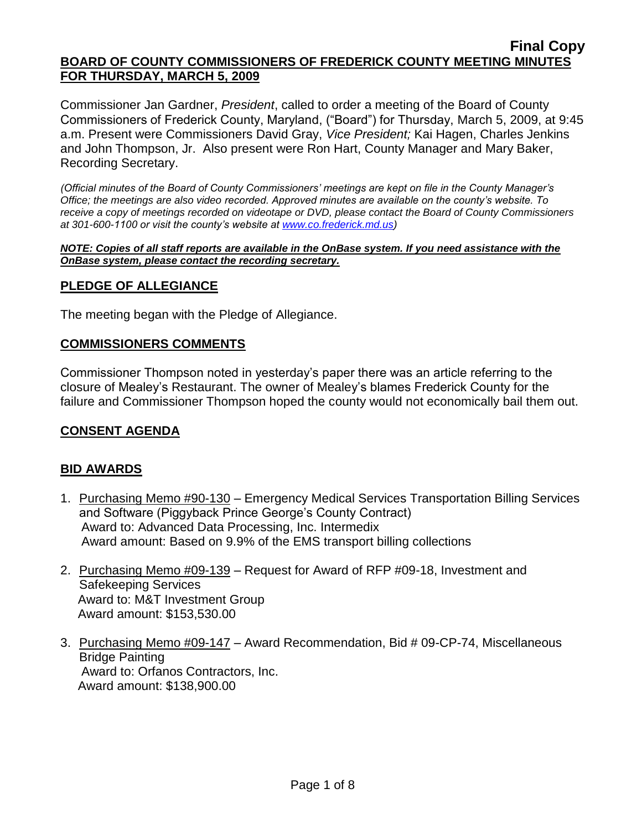Commissioner Jan Gardner, *President*, called to order a meeting of the Board of County Commissioners of Frederick County, Maryland, ("Board") for Thursday, March 5, 2009, at 9:45 a.m. Present were Commissioners David Gray, *Vice President;* Kai Hagen, Charles Jenkins and John Thompson, Jr. Also present were Ron Hart, County Manager and Mary Baker, Recording Secretary.

*(Official minutes of the Board of County Commissioners' meetings are kept on file in the County Manager's Office; the meetings are also video recorded. Approved minutes are available on the county's website. To receive a copy of meetings recorded on videotape or DVD, please contact the Board of County Commissioners at 301-600-1100 or visit the county's website at [www.co.frederick.md.us\)](http://www.co.frederick.md.us/)*

*NOTE: Copies of all staff reports are available in the OnBase system. If you need assistance with the OnBase system, please contact the recording secretary.*

## **PLEDGE OF ALLEGIANCE**

The meeting began with the Pledge of Allegiance.

#### **COMMISSIONERS COMMENTS**

Commissioner Thompson noted in yesterday's paper there was an article referring to the closure of Mealey's Restaurant. The owner of Mealey's blames Frederick County for the failure and Commissioner Thompson hoped the county would not economically bail them out.

## **CONSENT AGENDA**

## **BID AWARDS**

- 1. Purchasing Memo #90-130 Emergency Medical Services Transportation Billing Services and Software (Piggyback Prince George's County Contract) Award to: Advanced Data Processing, Inc. Intermedix Award amount: Based on 9.9% of the EMS transport billing collections
- 2. Purchasing Memo #09-139 Request for Award of RFP #09-18, Investment and Safekeeping Services Award to: M&T Investment Group Award amount: \$153,530.00
- 3. Purchasing Memo #09-147 Award Recommendation, Bid # 09-CP-74, Miscellaneous Bridge Painting Award to: Orfanos Contractors, Inc. Award amount: \$138,900.00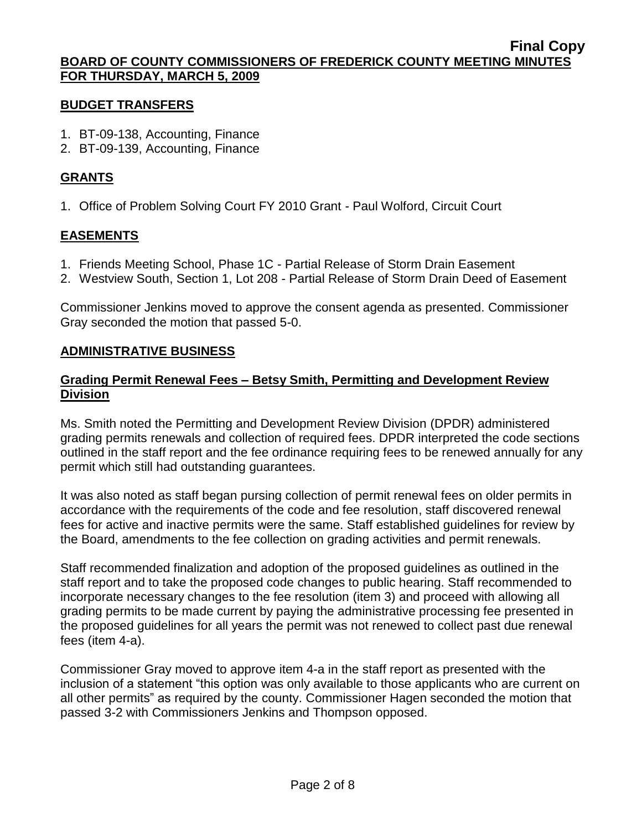#### **BUDGET TRANSFERS**

- 1. BT-09-138, Accounting, Finance
- 2. BT-09-139, Accounting, Finance

## **GRANTS**

1. Office of Problem Solving Court FY 2010 Grant - Paul Wolford, Circuit Court

# **EASEMENTS**

- 1. Friends Meeting School, Phase 1C Partial Release of Storm Drain Easement
- 2. Westview South, Section 1, Lot 208 Partial Release of Storm Drain Deed of Easement

Commissioner Jenkins moved to approve the consent agenda as presented. Commissioner Gray seconded the motion that passed 5-0.

## **ADMINISTRATIVE BUSINESS**

## **Grading Permit Renewal Fees – Betsy Smith, Permitting and Development Review Division**

Ms. Smith noted the Permitting and Development Review Division (DPDR) administered grading permits renewals and collection of required fees. DPDR interpreted the code sections outlined in the staff report and the fee ordinance requiring fees to be renewed annually for any permit which still had outstanding guarantees.

It was also noted as staff began pursing collection of permit renewal fees on older permits in accordance with the requirements of the code and fee resolution, staff discovered renewal fees for active and inactive permits were the same. Staff established guidelines for review by the Board, amendments to the fee collection on grading activities and permit renewals.

Staff recommended finalization and adoption of the proposed guidelines as outlined in the staff report and to take the proposed code changes to public hearing. Staff recommended to incorporate necessary changes to the fee resolution (item 3) and proceed with allowing all grading permits to be made current by paying the administrative processing fee presented in the proposed guidelines for all years the permit was not renewed to collect past due renewal fees (item 4-a).

Commissioner Gray moved to approve item 4-a in the staff report as presented with the inclusion of a statement "this option was only available to those applicants who are current on all other permits" as required by the county. Commissioner Hagen seconded the motion that passed 3-2 with Commissioners Jenkins and Thompson opposed.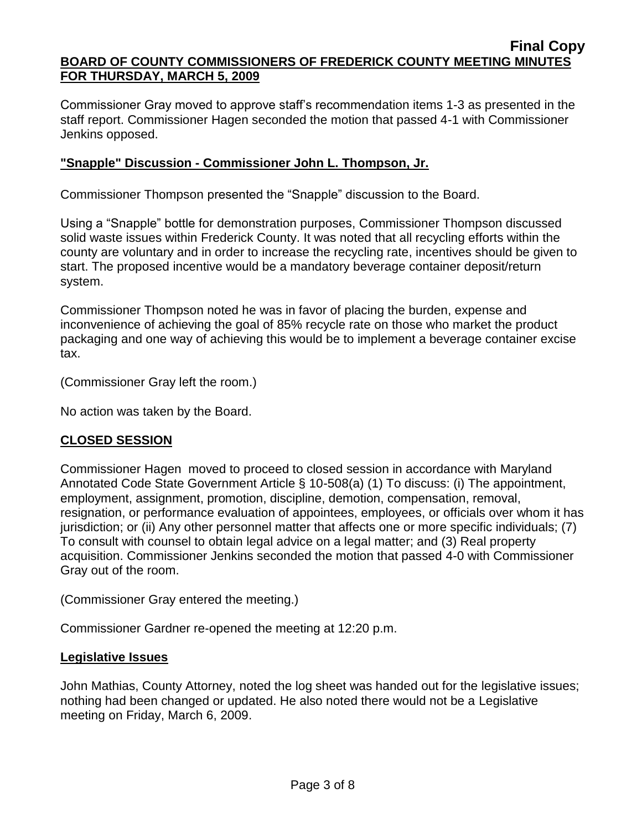Commissioner Gray moved to approve staff's recommendation items 1-3 as presented in the staff report. Commissioner Hagen seconded the motion that passed 4-1 with Commissioner Jenkins opposed.

## **"Snapple" Discussion - Commissioner John L. Thompson, Jr.**

Commissioner Thompson presented the "Snapple" discussion to the Board.

Using a "Snapple" bottle for demonstration purposes, Commissioner Thompson discussed solid waste issues within Frederick County. It was noted that all recycling efforts within the county are voluntary and in order to increase the recycling rate, incentives should be given to start. The proposed incentive would be a mandatory beverage container deposit/return system.

Commissioner Thompson noted he was in favor of placing the burden, expense and inconvenience of achieving the goal of 85% recycle rate on those who market the product packaging and one way of achieving this would be to implement a beverage container excise tax.

(Commissioner Gray left the room.)

No action was taken by the Board.

## **CLOSED SESSION**

Commissioner Hagen moved to proceed to closed session in accordance with Maryland Annotated Code State Government Article § 10-508(a) (1) To discuss: (i) The appointment, employment, assignment, promotion, discipline, demotion, compensation, removal, resignation, or performance evaluation of appointees, employees, or officials over whom it has jurisdiction; or (ii) Any other personnel matter that affects one or more specific individuals; (7) To consult with counsel to obtain legal advice on a legal matter; and (3) Real property acquisition. Commissioner Jenkins seconded the motion that passed 4-0 with Commissioner Gray out of the room.

(Commissioner Gray entered the meeting.)

Commissioner Gardner re-opened the meeting at 12:20 p.m.

## **Legislative Issues**

John Mathias, County Attorney, noted the log sheet was handed out for the legislative issues; nothing had been changed or updated. He also noted there would not be a Legislative meeting on Friday, March 6, 2009.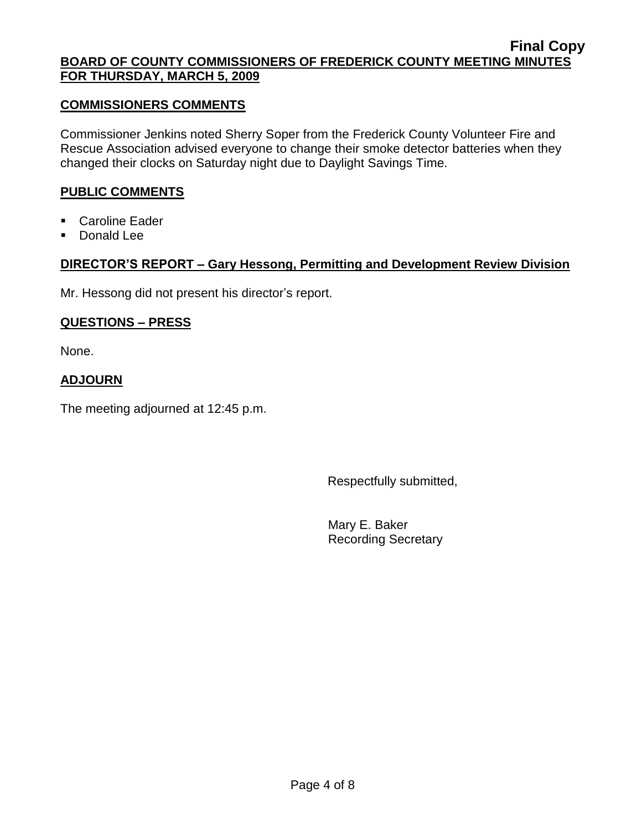#### **COMMISSIONERS COMMENTS**

Commissioner Jenkins noted Sherry Soper from the Frederick County Volunteer Fire and Rescue Association advised everyone to change their smoke detector batteries when they changed their clocks on Saturday night due to Daylight Savings Time.

## **PUBLIC COMMENTS**

- Caroline Eader
- **Donald Lee**

## **DIRECTOR'S REPORT – Gary Hessong, Permitting and Development Review Division**

Mr. Hessong did not present his director's report.

## **QUESTIONS – PRESS**

None.

## **ADJOURN**

The meeting adjourned at 12:45 p.m.

Respectfully submitted,

Mary E. Baker Recording Secretary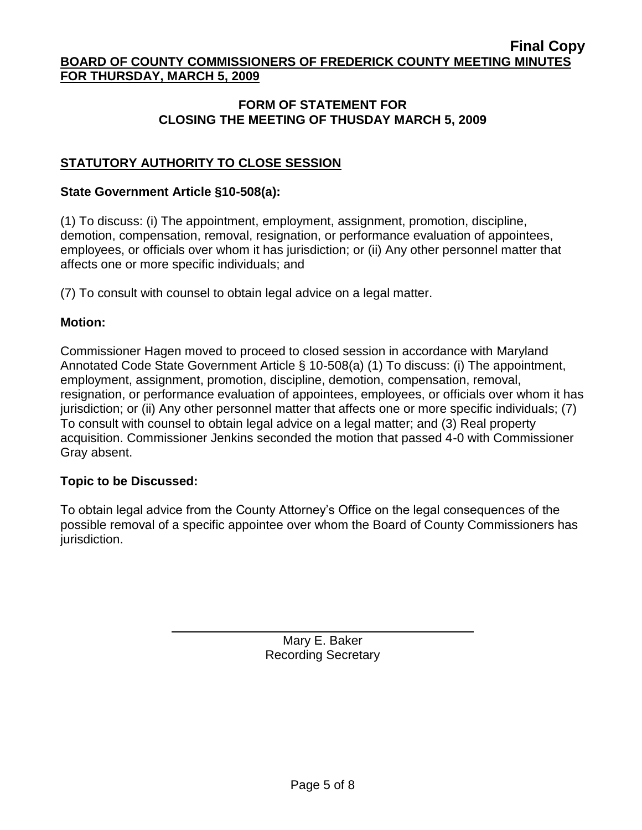## **FORM OF STATEMENT FOR CLOSING THE MEETING OF THUSDAY MARCH 5, 2009**

# **STATUTORY AUTHORITY TO CLOSE SESSION**

#### **State Government Article §10-508(a):**

(1) To discuss: (i) The appointment, employment, assignment, promotion, discipline, demotion, compensation, removal, resignation, or performance evaluation of appointees, employees, or officials over whom it has jurisdiction; or (ii) Any other personnel matter that affects one or more specific individuals; and

(7) To consult with counsel to obtain legal advice on a legal matter.

#### **Motion:**

Commissioner Hagen moved to proceed to closed session in accordance with Maryland Annotated Code State Government Article § 10-508(a) (1) To discuss: (i) The appointment, employment, assignment, promotion, discipline, demotion, compensation, removal, resignation, or performance evaluation of appointees, employees, or officials over whom it has jurisdiction; or (ii) Any other personnel matter that affects one or more specific individuals; (7) To consult with counsel to obtain legal advice on a legal matter; and (3) Real property acquisition. Commissioner Jenkins seconded the motion that passed 4-0 with Commissioner Gray absent.

## **Topic to be Discussed:**

To obtain legal advice from the County Attorney's Office on the legal consequences of the possible removal of a specific appointee over whom the Board of County Commissioners has jurisdiction.

> Mary E. Baker Recording Secretary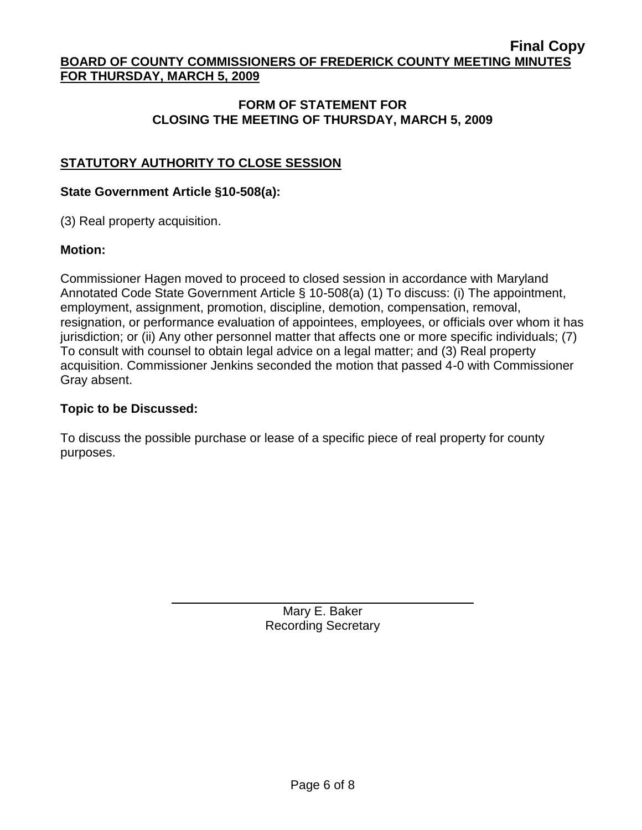## **FORM OF STATEMENT FOR CLOSING THE MEETING OF THURSDAY, MARCH 5, 2009**

# **STATUTORY AUTHORITY TO CLOSE SESSION**

#### **State Government Article §10-508(a):**

(3) Real property acquisition.

#### **Motion:**

Commissioner Hagen moved to proceed to closed session in accordance with Maryland Annotated Code State Government Article § 10-508(a) (1) To discuss: (i) The appointment, employment, assignment, promotion, discipline, demotion, compensation, removal, resignation, or performance evaluation of appointees, employees, or officials over whom it has jurisdiction; or (ii) Any other personnel matter that affects one or more specific individuals; (7) To consult with counsel to obtain legal advice on a legal matter; and (3) Real property acquisition. Commissioner Jenkins seconded the motion that passed 4-0 with Commissioner Gray absent.

## **Topic to be Discussed:**

To discuss the possible purchase or lease of a specific piece of real property for county purposes.

> Mary E. Baker Recording Secretary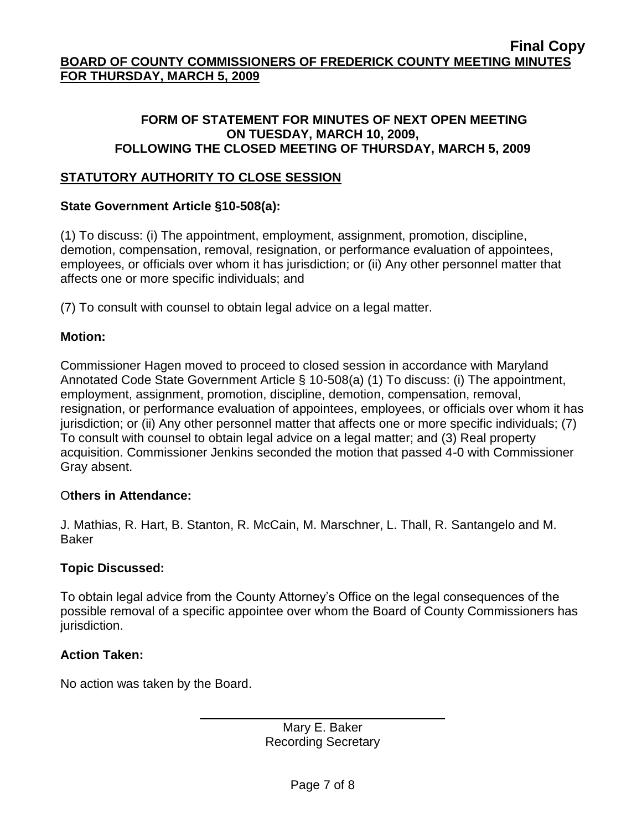## **FORM OF STATEMENT FOR MINUTES OF NEXT OPEN MEETING ON TUESDAY, MARCH 10, 2009, FOLLOWING THE CLOSED MEETING OF THURSDAY, MARCH 5, 2009**

## **STATUTORY AUTHORITY TO CLOSE SESSION**

## **State Government Article §10-508(a):**

(1) To discuss: (i) The appointment, employment, assignment, promotion, discipline, demotion, compensation, removal, resignation, or performance evaluation of appointees, employees, or officials over whom it has jurisdiction; or (ii) Any other personnel matter that affects one or more specific individuals; and

(7) To consult with counsel to obtain legal advice on a legal matter.

## **Motion:**

Commissioner Hagen moved to proceed to closed session in accordance with Maryland Annotated Code State Government Article § 10-508(a) (1) To discuss: (i) The appointment, employment, assignment, promotion, discipline, demotion, compensation, removal, resignation, or performance evaluation of appointees, employees, or officials over whom it has jurisdiction; or (ii) Any other personnel matter that affects one or more specific individuals; (7) To consult with counsel to obtain legal advice on a legal matter; and (3) Real property acquisition. Commissioner Jenkins seconded the motion that passed 4-0 with Commissioner Gray absent.

## O**thers in Attendance:**

J. Mathias, R. Hart, B. Stanton, R. McCain, M. Marschner, L. Thall, R. Santangelo and M. Baker

## **Topic Discussed:**

To obtain legal advice from the County Attorney's Office on the legal consequences of the possible removal of a specific appointee over whom the Board of County Commissioners has jurisdiction.

## **Action Taken:**

No action was taken by the Board.

Mary E. Baker Recording Secretary

\_\_\_\_\_\_\_\_\_\_\_\_\_\_\_\_\_\_\_\_\_\_\_\_\_\_\_\_\_\_\_\_\_\_\_